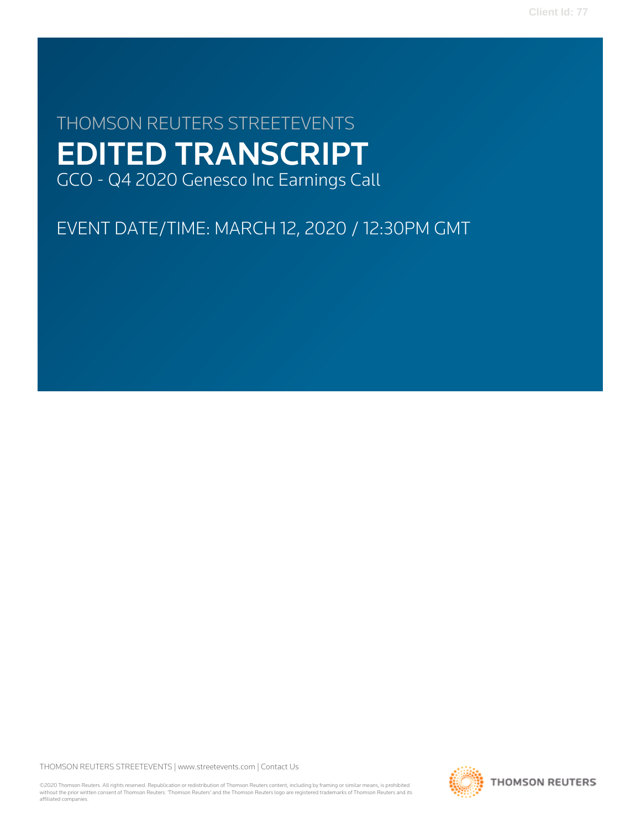# THOMSON REUTERS STREETEVENTS EDITED TRANSCRIPT GCO - Q4 2020 Genesco Inc Earnings Call

EVENT DATE/TIME: MARCH 12, 2020 / 12:30PM GMT

THOMSON REUTERS STREETEVENTS | [www.streetevents.com](http://www.streetevents.com) | [Contact Us](http://www010.streetevents.com/contact.asp)

©2020 Thomson Reuters. All rights reserved. Republication or redistribution of Thomson Reuters content, including by framing or similar means, is prohibited without the prior written consent of Thomson Reuters. 'Thomson Reuters' and the Thomson Reuters logo are registered trademarks of Thomson Reuters and its affiliated companies.

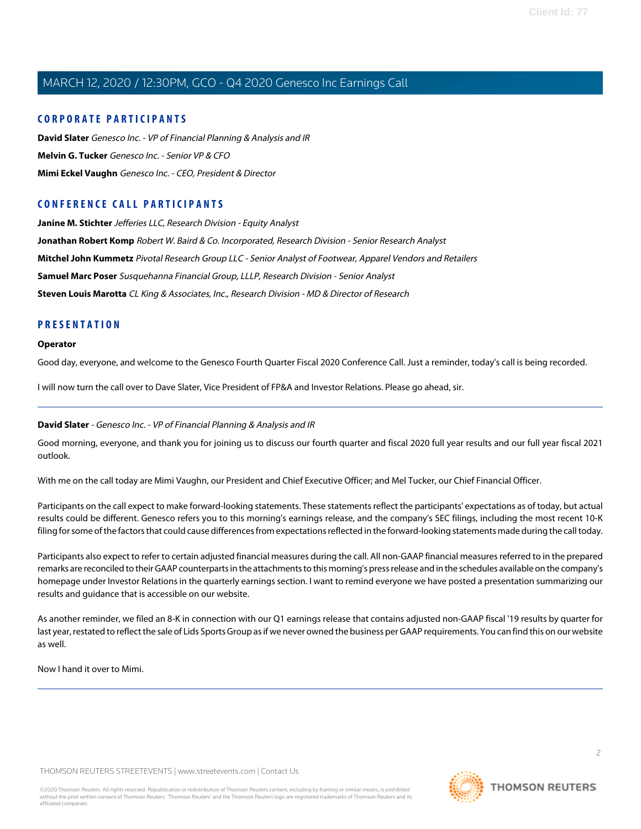### **CORPORATE PARTICIPANTS**

**[David Slater](#page-1-0)** Genesco Inc. - VP of Financial Planning & Analysis and IR **[Melvin G. Tucker](#page-4-0)** Genesco Inc. - Senior VP & CFO **[Mimi Eckel Vaughn](#page-2-0)** Genesco Inc. - CEO, President & Director

### **CONFERENCE CALL PARTICIPANTS**

**[Janine M. Stichter](#page-11-0)** Jefferies LLC, Research Division - Equity Analyst **[Jonathan Robert Komp](#page-10-0)** Robert W. Baird & Co. Incorporated, Research Division - Senior Research Analyst **[Mitchel John Kummetz](#page-9-0)** Pivotal Research Group LLC - Senior Analyst of Footwear, Apparel Vendors and Retailers **[Samuel Marc Poser](#page-14-0)** Susquehanna Financial Group, LLLP, Research Division - Senior Analyst **[Steven Louis Marotta](#page-13-0)** CL King & Associates, Inc., Research Division - MD & Director of Research

### **PRESENTATION**

#### **Operator**

Good day, everyone, and welcome to the Genesco Fourth Quarter Fiscal 2020 Conference Call. Just a reminder, today's call is being recorded.

<span id="page-1-0"></span>I will now turn the call over to Dave Slater, Vice President of FP&A and Investor Relations. Please go ahead, sir.

#### **David Slater** - Genesco Inc. - VP of Financial Planning & Analysis and IR

Good morning, everyone, and thank you for joining us to discuss our fourth quarter and fiscal 2020 full year results and our full year fiscal 2021 outlook.

With me on the call today are Mimi Vaughn, our President and Chief Executive Officer; and Mel Tucker, our Chief Financial Officer.

Participants on the call expect to make forward-looking statements. These statements reflect the participants' expectations as of today, but actual results could be different. Genesco refers you to this morning's earnings release, and the company's SEC filings, including the most recent 10-K filing for some of the factors that could cause differences from expectations reflected in the forward-looking statements made during the call today.

Participants also expect to refer to certain adjusted financial measures during the call. All non-GAAP financial measures referred to in the prepared remarks are reconciled to their GAAP counterparts in the attachments to this morning's press release and in the schedules available on the company's homepage under Investor Relations in the quarterly earnings section. I want to remind everyone we have posted a presentation summarizing our results and guidance that is accessible on our website.

As another reminder, we filed an 8-K in connection with our Q1 earnings release that contains adjusted non-GAAP fiscal '19 results by quarter for last year, restated to reflect the sale of Lids Sports Group as if we never owned the business per GAAP requirements. You can find this on our website as well.

Now I hand it over to Mimi.

THOMSON REUTERS STREETEVENTS | [www.streetevents.com](http://www.streetevents.com) | [Contact Us](http://www010.streetevents.com/contact.asp)

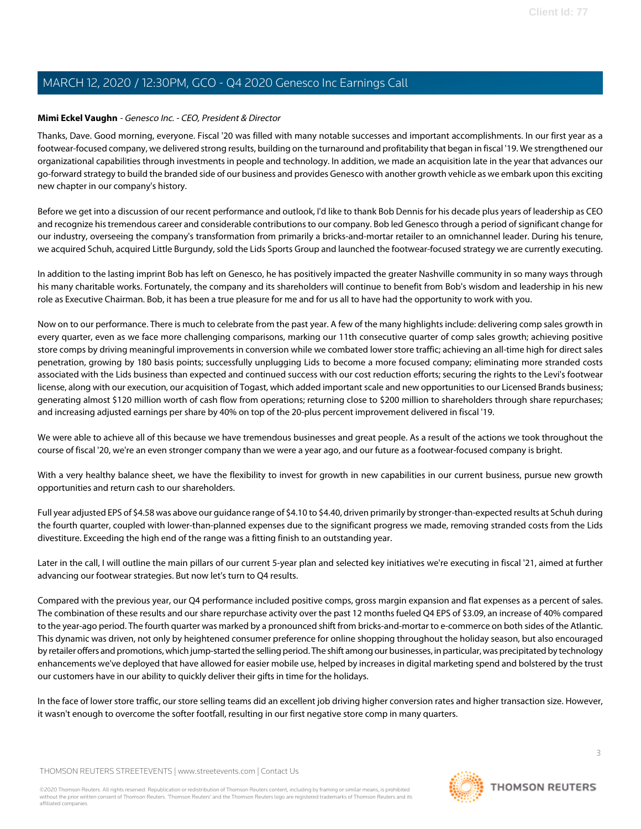#### <span id="page-2-0"></span>**Mimi Eckel Vaughn** - Genesco Inc. - CEO, President & Director

Thanks, Dave. Good morning, everyone. Fiscal '20 was filled with many notable successes and important accomplishments. In our first year as a footwear-focused company, we delivered strong results, building on the turnaround and profitability that began in fiscal '19. We strengthened our organizational capabilities through investments in people and technology. In addition, we made an acquisition late in the year that advances our go-forward strategy to build the branded side of our business and provides Genesco with another growth vehicle as we embark upon this exciting new chapter in our company's history.

Before we get into a discussion of our recent performance and outlook, I'd like to thank Bob Dennis for his decade plus years of leadership as CEO and recognize his tremendous career and considerable contributions to our company. Bob led Genesco through a period of significant change for our industry, overseeing the company's transformation from primarily a bricks-and-mortar retailer to an omnichannel leader. During his tenure, we acquired Schuh, acquired Little Burgundy, sold the Lids Sports Group and launched the footwear-focused strategy we are currently executing.

In addition to the lasting imprint Bob has left on Genesco, he has positively impacted the greater Nashville community in so many ways through his many charitable works. Fortunately, the company and its shareholders will continue to benefit from Bob's wisdom and leadership in his new role as Executive Chairman. Bob, it has been a true pleasure for me and for us all to have had the opportunity to work with you.

Now on to our performance. There is much to celebrate from the past year. A few of the many highlights include: delivering comp sales growth in every quarter, even as we face more challenging comparisons, marking our 11th consecutive quarter of comp sales growth; achieving positive store comps by driving meaningful improvements in conversion while we combated lower store traffic; achieving an all-time high for direct sales penetration, growing by 180 basis points; successfully unplugging Lids to become a more focused company; eliminating more stranded costs associated with the Lids business than expected and continued success with our cost reduction efforts; securing the rights to the Levi's footwear license, along with our execution, our acquisition of Togast, which added important scale and new opportunities to our Licensed Brands business; generating almost \$120 million worth of cash flow from operations; returning close to \$200 million to shareholders through share repurchases; and increasing adjusted earnings per share by 40% on top of the 20-plus percent improvement delivered in fiscal '19.

We were able to achieve all of this because we have tremendous businesses and great people. As a result of the actions we took throughout the course of fiscal '20, we're an even stronger company than we were a year ago, and our future as a footwear-focused company is bright.

With a very healthy balance sheet, we have the flexibility to invest for growth in new capabilities in our current business, pursue new growth opportunities and return cash to our shareholders.

Full year adjusted EPS of \$4.58 was above our guidance range of \$4.10 to \$4.40, driven primarily by stronger-than-expected results at Schuh during the fourth quarter, coupled with lower-than-planned expenses due to the significant progress we made, removing stranded costs from the Lids divestiture. Exceeding the high end of the range was a fitting finish to an outstanding year.

Later in the call, I will outline the main pillars of our current 5-year plan and selected key initiatives we're executing in fiscal '21, aimed at further advancing our footwear strategies. But now let's turn to Q4 results.

Compared with the previous year, our Q4 performance included positive comps, gross margin expansion and flat expenses as a percent of sales. The combination of these results and our share repurchase activity over the past 12 months fueled Q4 EPS of \$3.09, an increase of 40% compared to the year-ago period. The fourth quarter was marked by a pronounced shift from bricks-and-mortar to e-commerce on both sides of the Atlantic. This dynamic was driven, not only by heightened consumer preference for online shopping throughout the holiday season, but also encouraged by retailer offers and promotions, which jump-started the selling period. The shift among our businesses, in particular, was precipitated by technology enhancements we've deployed that have allowed for easier mobile use, helped by increases in digital marketing spend and bolstered by the trust our customers have in our ability to quickly deliver their gifts in time for the holidays.

In the face of lower store traffic, our store selling teams did an excellent job driving higher conversion rates and higher transaction size. However, it wasn't enough to overcome the softer footfall, resulting in our first negative store comp in many quarters.

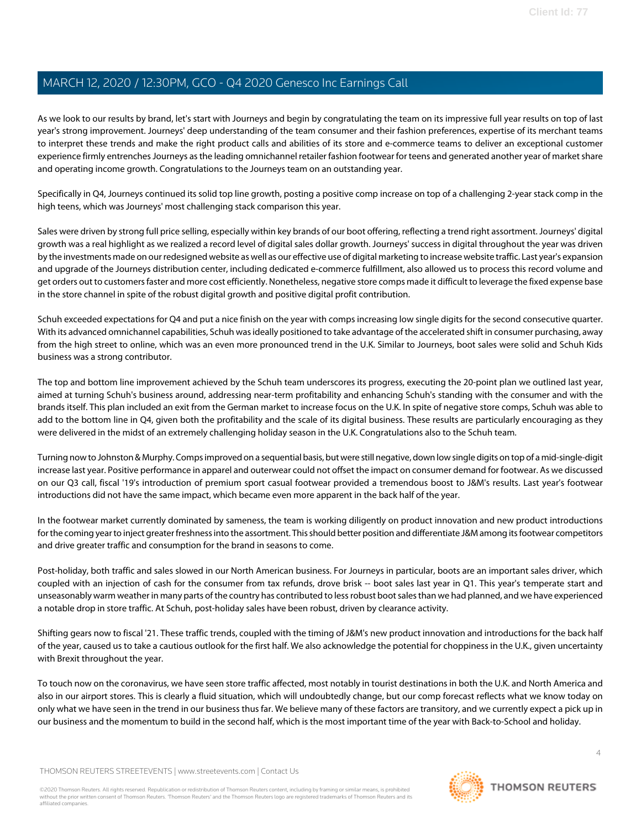As we look to our results by brand, let's start with Journeys and begin by congratulating the team on its impressive full year results on top of last year's strong improvement. Journeys' deep understanding of the team consumer and their fashion preferences, expertise of its merchant teams to interpret these trends and make the right product calls and abilities of its store and e-commerce teams to deliver an exceptional customer experience firmly entrenches Journeys as the leading omnichannel retailer fashion footwear for teens and generated another year of market share and operating income growth. Congratulations to the Journeys team on an outstanding year.

Specifically in Q4, Journeys continued its solid top line growth, posting a positive comp increase on top of a challenging 2-year stack comp in the high teens, which was Journeys' most challenging stack comparison this year.

Sales were driven by strong full price selling, especially within key brands of our boot offering, reflecting a trend right assortment. Journeys' digital growth was a real highlight as we realized a record level of digital sales dollar growth. Journeys' success in digital throughout the year was driven by the investments made on our redesigned website as well as our effective use of digital marketing to increase website traffic. Last year's expansion and upgrade of the Journeys distribution center, including dedicated e-commerce fulfillment, also allowed us to process this record volume and get orders out to customers faster and more cost efficiently. Nonetheless, negative store comps made it difficult to leverage the fixed expense base in the store channel in spite of the robust digital growth and positive digital profit contribution.

Schuh exceeded expectations for Q4 and put a nice finish on the year with comps increasing low single digits for the second consecutive quarter. With its advanced omnichannel capabilities, Schuh was ideally positioned to take advantage of the accelerated shift in consumer purchasing, away from the high street to online, which was an even more pronounced trend in the U.K. Similar to Journeys, boot sales were solid and Schuh Kids business was a strong contributor.

The top and bottom line improvement achieved by the Schuh team underscores its progress, executing the 20-point plan we outlined last year, aimed at turning Schuh's business around, addressing near-term profitability and enhancing Schuh's standing with the consumer and with the brands itself. This plan included an exit from the German market to increase focus on the U.K. In spite of negative store comps, Schuh was able to add to the bottom line in Q4, given both the profitability and the scale of its digital business. These results are particularly encouraging as they were delivered in the midst of an extremely challenging holiday season in the U.K. Congratulations also to the Schuh team.

Turning now to Johnston & Murphy. Comps improved on a sequential basis, but were still negative, down low single digits on top of a mid-single-digit increase last year. Positive performance in apparel and outerwear could not offset the impact on consumer demand for footwear. As we discussed on our Q3 call, fiscal '19's introduction of premium sport casual footwear provided a tremendous boost to J&M's results. Last year's footwear introductions did not have the same impact, which became even more apparent in the back half of the year.

In the footwear market currently dominated by sameness, the team is working diligently on product innovation and new product introductions for the coming year to inject greater freshness into the assortment. This should better position and differentiate J&M among its footwear competitors and drive greater traffic and consumption for the brand in seasons to come.

Post-holiday, both traffic and sales slowed in our North American business. For Journeys in particular, boots are an important sales driver, which coupled with an injection of cash for the consumer from tax refunds, drove brisk -- boot sales last year in Q1. This year's temperate start and unseasonably warm weather in many parts of the country has contributed to less robust boot sales than we had planned, and we have experienced a notable drop in store traffic. At Schuh, post-holiday sales have been robust, driven by clearance activity.

Shifting gears now to fiscal '21. These traffic trends, coupled with the timing of J&M's new product innovation and introductions for the back half of the year, caused us to take a cautious outlook for the first half. We also acknowledge the potential for choppiness in the U.K., given uncertainty with Brexit throughout the year.

To touch now on the coronavirus, we have seen store traffic affected, most notably in tourist destinations in both the U.K. and North America and also in our airport stores. This is clearly a fluid situation, which will undoubtedly change, but our comp forecast reflects what we know today on only what we have seen in the trend in our business thus far. We believe many of these factors are transitory, and we currently expect a pick up in our business and the momentum to build in the second half, which is the most important time of the year with Back-to-School and holiday.

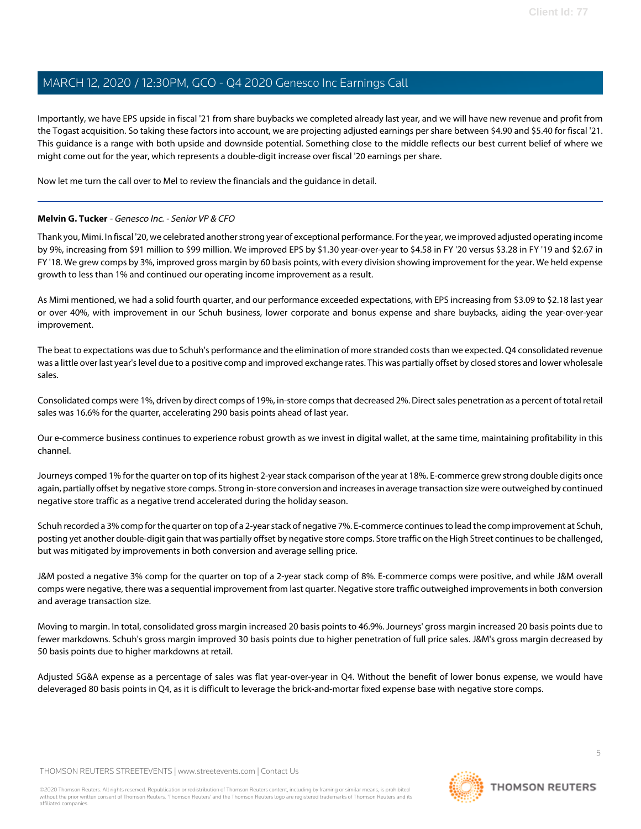Importantly, we have EPS upside in fiscal '21 from share buybacks we completed already last year, and we will have new revenue and profit from the Togast acquisition. So taking these factors into account, we are projecting adjusted earnings per share between \$4.90 and \$5.40 for fiscal '21. This guidance is a range with both upside and downside potential. Something close to the middle reflects our best current belief of where we might come out for the year, which represents a double-digit increase over fiscal '20 earnings per share.

<span id="page-4-0"></span>Now let me turn the call over to Mel to review the financials and the guidance in detail.

### **Melvin G. Tucker** - Genesco Inc. - Senior VP & CFO

Thank you, Mimi. In fiscal '20, we celebrated another strong year of exceptional performance. For the year, we improved adjusted operating income by 9%, increasing from \$91 million to \$99 million. We improved EPS by \$1.30 year-over-year to \$4.58 in FY '20 versus \$3.28 in FY '19 and \$2.67 in FY '18. We grew comps by 3%, improved gross margin by 60 basis points, with every division showing improvement for the year. We held expense growth to less than 1% and continued our operating income improvement as a result.

As Mimi mentioned, we had a solid fourth quarter, and our performance exceeded expectations, with EPS increasing from \$3.09 to \$2.18 last year or over 40%, with improvement in our Schuh business, lower corporate and bonus expense and share buybacks, aiding the year-over-year improvement.

The beat to expectations was due to Schuh's performance and the elimination of more stranded costs than we expected. Q4 consolidated revenue was a little over last year's level due to a positive comp and improved exchange rates. This was partially offset by closed stores and lower wholesale sales.

Consolidated comps were 1%, driven by direct comps of 19%, in-store comps that decreased 2%. Direct sales penetration as a percent of total retail sales was 16.6% for the quarter, accelerating 290 basis points ahead of last year.

Our e-commerce business continues to experience robust growth as we invest in digital wallet, at the same time, maintaining profitability in this channel.

Journeys comped 1% for the quarter on top of its highest 2-year stack comparison of the year at 18%. E-commerce grew strong double digits once again, partially offset by negative store comps. Strong in-store conversion and increases in average transaction size were outweighed by continued negative store traffic as a negative trend accelerated during the holiday season.

Schuh recorded a 3% comp for the quarter on top of a 2-year stack of negative 7%. E-commerce continues to lead the comp improvement at Schuh, posting yet another double-digit gain that was partially offset by negative store comps. Store traffic on the High Street continues to be challenged, but was mitigated by improvements in both conversion and average selling price.

J&M posted a negative 3% comp for the quarter on top of a 2-year stack comp of 8%. E-commerce comps were positive, and while J&M overall comps were negative, there was a sequential improvement from last quarter. Negative store traffic outweighed improvements in both conversion and average transaction size.

Moving to margin. In total, consolidated gross margin increased 20 basis points to 46.9%. Journeys' gross margin increased 20 basis points due to fewer markdowns. Schuh's gross margin improved 30 basis points due to higher penetration of full price sales. J&M's gross margin decreased by 50 basis points due to higher markdowns at retail.

Adjusted SG&A expense as a percentage of sales was flat year-over-year in Q4. Without the benefit of lower bonus expense, we would have deleveraged 80 basis points in Q4, as it is difficult to leverage the brick-and-mortar fixed expense base with negative store comps.

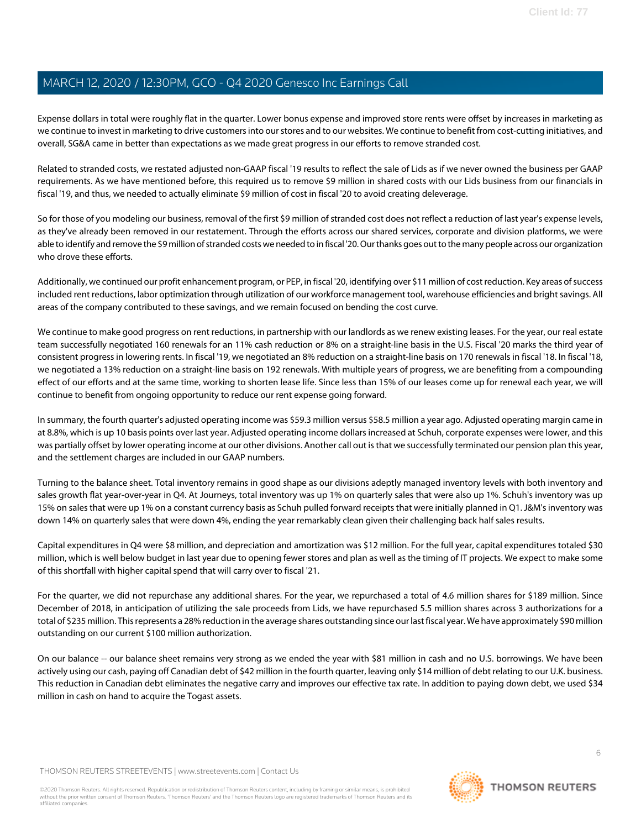Expense dollars in total were roughly flat in the quarter. Lower bonus expense and improved store rents were offset by increases in marketing as we continue to invest in marketing to drive customers into our stores and to our websites. We continue to benefit from cost-cutting initiatives, and overall, SG&A came in better than expectations as we made great progress in our efforts to remove stranded cost.

Related to stranded costs, we restated adjusted non-GAAP fiscal '19 results to reflect the sale of Lids as if we never owned the business per GAAP requirements. As we have mentioned before, this required us to remove \$9 million in shared costs with our Lids business from our financials in fiscal '19, and thus, we needed to actually eliminate \$9 million of cost in fiscal '20 to avoid creating deleverage.

So for those of you modeling our business, removal of the first \$9 million of stranded cost does not reflect a reduction of last year's expense levels, as they've already been removed in our restatement. Through the efforts across our shared services, corporate and division platforms, we were able to identify and remove the \$9 million of stranded costs we needed to in fiscal '20. Our thanks goes out to the many people across our organization who drove these efforts.

Additionally, we continued our profit enhancement program, or PEP, in fiscal '20, identifying over \$11 million of cost reduction. Key areas of success included rent reductions, labor optimization through utilization of our workforce management tool, warehouse efficiencies and bright savings. All areas of the company contributed to these savings, and we remain focused on bending the cost curve.

We continue to make good progress on rent reductions, in partnership with our landlords as we renew existing leases. For the year, our real estate team successfully negotiated 160 renewals for an 11% cash reduction or 8% on a straight-line basis in the U.S. Fiscal '20 marks the third year of consistent progress in lowering rents. In fiscal '19, we negotiated an 8% reduction on a straight-line basis on 170 renewals in fiscal '18. In fiscal '18, we negotiated a 13% reduction on a straight-line basis on 192 renewals. With multiple years of progress, we are benefiting from a compounding effect of our efforts and at the same time, working to shorten lease life. Since less than 15% of our leases come up for renewal each year, we will continue to benefit from ongoing opportunity to reduce our rent expense going forward.

In summary, the fourth quarter's adjusted operating income was \$59.3 million versus \$58.5 million a year ago. Adjusted operating margin came in at 8.8%, which is up 10 basis points over last year. Adjusted operating income dollars increased at Schuh, corporate expenses were lower, and this was partially offset by lower operating income at our other divisions. Another call out is that we successfully terminated our pension plan this year, and the settlement charges are included in our GAAP numbers.

Turning to the balance sheet. Total inventory remains in good shape as our divisions adeptly managed inventory levels with both inventory and sales growth flat year-over-year in Q4. At Journeys, total inventory was up 1% on quarterly sales that were also up 1%. Schuh's inventory was up 15% on sales that were up 1% on a constant currency basis as Schuh pulled forward receipts that were initially planned in Q1. J&M's inventory was down 14% on quarterly sales that were down 4%, ending the year remarkably clean given their challenging back half sales results.

Capital expenditures in Q4 were \$8 million, and depreciation and amortization was \$12 million. For the full year, capital expenditures totaled \$30 million, which is well below budget in last year due to opening fewer stores and plan as well as the timing of IT projects. We expect to make some of this shortfall with higher capital spend that will carry over to fiscal '21.

For the quarter, we did not repurchase any additional shares. For the year, we repurchased a total of 4.6 million shares for \$189 million. Since December of 2018, in anticipation of utilizing the sale proceeds from Lids, we have repurchased 5.5 million shares across 3 authorizations for a total of \$235 million. This represents a 28% reduction in the average shares outstanding since our last fiscal year. We have approximately \$90 million outstanding on our current \$100 million authorization.

On our balance -- our balance sheet remains very strong as we ended the year with \$81 million in cash and no U.S. borrowings. We have been actively using our cash, paying off Canadian debt of \$42 million in the fourth quarter, leaving only \$14 million of debt relating to our U.K. business. This reduction in Canadian debt eliminates the negative carry and improves our effective tax rate. In addition to paying down debt, we used \$34 million in cash on hand to acquire the Togast assets.

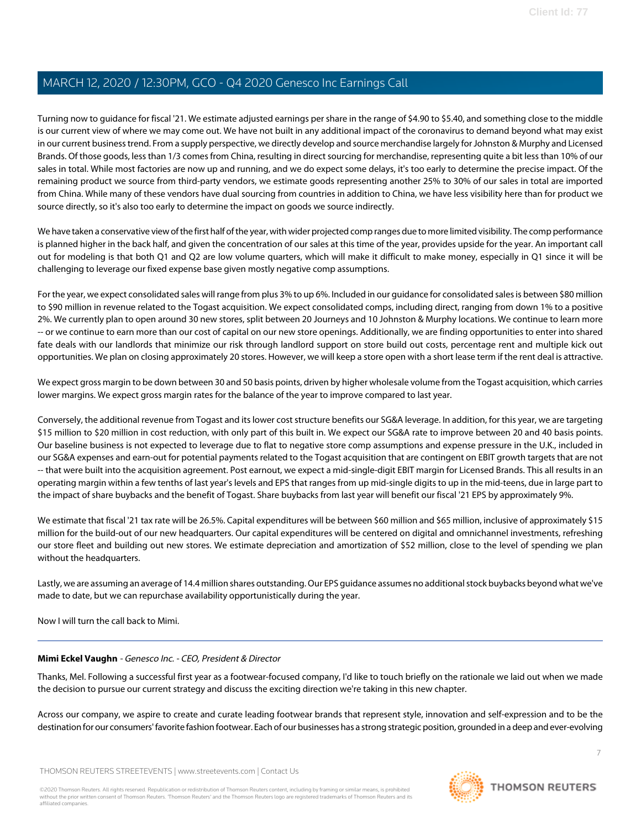Turning now to guidance for fiscal '21. We estimate adjusted earnings per share in the range of \$4.90 to \$5.40, and something close to the middle is our current view of where we may come out. We have not built in any additional impact of the coronavirus to demand beyond what may exist in our current business trend. From a supply perspective, we directly develop and source merchandise largely for Johnston & Murphy and Licensed Brands. Of those goods, less than 1/3 comes from China, resulting in direct sourcing for merchandise, representing quite a bit less than 10% of our sales in total. While most factories are now up and running, and we do expect some delays, it's too early to determine the precise impact. Of the remaining product we source from third-party vendors, we estimate goods representing another 25% to 30% of our sales in total are imported from China. While many of these vendors have dual sourcing from countries in addition to China, we have less visibility here than for product we source directly, so it's also too early to determine the impact on goods we source indirectly.

We have taken a conservative view of the first half of the year, with wider projected comp ranges due to more limited visibility. The comp performance is planned higher in the back half, and given the concentration of our sales at this time of the year, provides upside for the year. An important call out for modeling is that both Q1 and Q2 are low volume quarters, which will make it difficult to make money, especially in Q1 since it will be challenging to leverage our fixed expense base given mostly negative comp assumptions.

For the year, we expect consolidated sales will range from plus 3% to up 6%. Included in our guidance for consolidated sales is between \$80 million to \$90 million in revenue related to the Togast acquisition. We expect consolidated comps, including direct, ranging from down 1% to a positive 2%. We currently plan to open around 30 new stores, split between 20 Journeys and 10 Johnston & Murphy locations. We continue to learn more -- or we continue to earn more than our cost of capital on our new store openings. Additionally, we are finding opportunities to enter into shared fate deals with our landlords that minimize our risk through landlord support on store build out costs, percentage rent and multiple kick out opportunities. We plan on closing approximately 20 stores. However, we will keep a store open with a short lease term if the rent deal is attractive.

We expect gross margin to be down between 30 and 50 basis points, driven by higher wholesale volume from the Togast acquisition, which carries lower margins. We expect gross margin rates for the balance of the year to improve compared to last year.

Conversely, the additional revenue from Togast and its lower cost structure benefits our SG&A leverage. In addition, for this year, we are targeting \$15 million to \$20 million in cost reduction, with only part of this built in. We expect our SG&A rate to improve between 20 and 40 basis points. Our baseline business is not expected to leverage due to flat to negative store comp assumptions and expense pressure in the U.K., included in our SG&A expenses and earn-out for potential payments related to the Togast acquisition that are contingent on EBIT growth targets that are not -- that were built into the acquisition agreement. Post earnout, we expect a mid-single-digit EBIT margin for Licensed Brands. This all results in an operating margin within a few tenths of last year's levels and EPS that ranges from up mid-single digits to up in the mid-teens, due in large part to the impact of share buybacks and the benefit of Togast. Share buybacks from last year will benefit our fiscal '21 EPS by approximately 9%.

We estimate that fiscal '21 tax rate will be 26.5%. Capital expenditures will be between \$60 million and \$65 million, inclusive of approximately \$15 million for the build-out of our new headquarters. Our capital expenditures will be centered on digital and omnichannel investments, refreshing our store fleet and building out new stores. We estimate depreciation and amortization of \$52 million, close to the level of spending we plan without the headquarters.

Lastly, we are assuming an average of 14.4 million shares outstanding. Our EPS guidance assumes no additional stock buybacks beyond what we've made to date, but we can repurchase availability opportunistically during the year.

Now I will turn the call back to Mimi.

#### **Mimi Eckel Vaughn** - Genesco Inc. - CEO, President & Director

Thanks, Mel. Following a successful first year as a footwear-focused company, I'd like to touch briefly on the rationale we laid out when we made the decision to pursue our current strategy and discuss the exciting direction we're taking in this new chapter.

Across our company, we aspire to create and curate leading footwear brands that represent style, innovation and self-expression and to be the destination for our consumers' favorite fashion footwear. Each of our businesses has a strong strategic position, grounded in a deep and ever-evolving

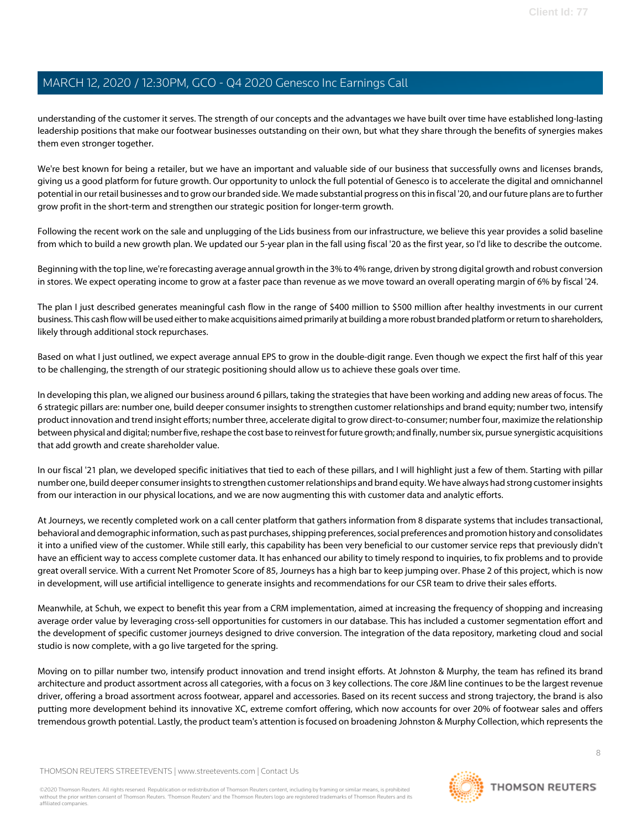understanding of the customer it serves. The strength of our concepts and the advantages we have built over time have established long-lasting leadership positions that make our footwear businesses outstanding on their own, but what they share through the benefits of synergies makes them even stronger together.

We're best known for being a retailer, but we have an important and valuable side of our business that successfully owns and licenses brands, giving us a good platform for future growth. Our opportunity to unlock the full potential of Genesco is to accelerate the digital and omnichannel potential in our retail businesses and to grow our branded side. We made substantial progress on this in fiscal '20, and our future plans are to further grow profit in the short-term and strengthen our strategic position for longer-term growth.

Following the recent work on the sale and unplugging of the Lids business from our infrastructure, we believe this year provides a solid baseline from which to build a new growth plan. We updated our 5-year plan in the fall using fiscal '20 as the first year, so I'd like to describe the outcome.

Beginning with the top line, we're forecasting average annual growth in the 3% to 4% range, driven by strong digital growth and robust conversion in stores. We expect operating income to grow at a faster pace than revenue as we move toward an overall operating margin of 6% by fiscal '24.

The plan I just described generates meaningful cash flow in the range of \$400 million to \$500 million after healthy investments in our current business. This cash flow will be used either to make acquisitions aimed primarily at building a more robust branded platform or return to shareholders, likely through additional stock repurchases.

Based on what I just outlined, we expect average annual EPS to grow in the double-digit range. Even though we expect the first half of this year to be challenging, the strength of our strategic positioning should allow us to achieve these goals over time.

In developing this plan, we aligned our business around 6 pillars, taking the strategies that have been working and adding new areas of focus. The 6 strategic pillars are: number one, build deeper consumer insights to strengthen customer relationships and brand equity; number two, intensify product innovation and trend insight efforts; number three, accelerate digital to grow direct-to-consumer; number four, maximize the relationship between physical and digital; number five, reshape the cost base to reinvest for future growth; and finally, number six, pursue synergistic acquisitions that add growth and create shareholder value.

In our fiscal '21 plan, we developed specific initiatives that tied to each of these pillars, and I will highlight just a few of them. Starting with pillar number one, build deeper consumer insights to strengthen customer relationships and brand equity. We have always had strong customer insights from our interaction in our physical locations, and we are now augmenting this with customer data and analytic efforts.

At Journeys, we recently completed work on a call center platform that gathers information from 8 disparate systems that includes transactional, behavioral and demographic information, such as past purchases, shipping preferences, social preferences and promotion history and consolidates it into a unified view of the customer. While still early, this capability has been very beneficial to our customer service reps that previously didn't have an efficient way to access complete customer data. It has enhanced our ability to timely respond to inquiries, to fix problems and to provide great overall service. With a current Net Promoter Score of 85, Journeys has a high bar to keep jumping over. Phase 2 of this project, which is now in development, will use artificial intelligence to generate insights and recommendations for our CSR team to drive their sales efforts.

Meanwhile, at Schuh, we expect to benefit this year from a CRM implementation, aimed at increasing the frequency of shopping and increasing average order value by leveraging cross-sell opportunities for customers in our database. This has included a customer segmentation effort and the development of specific customer journeys designed to drive conversion. The integration of the data repository, marketing cloud and social studio is now complete, with a go live targeted for the spring.

Moving on to pillar number two, intensify product innovation and trend insight efforts. At Johnston & Murphy, the team has refined its brand architecture and product assortment across all categories, with a focus on 3 key collections. The core J&M line continues to be the largest revenue driver, offering a broad assortment across footwear, apparel and accessories. Based on its recent success and strong trajectory, the brand is also putting more development behind its innovative XC, extreme comfort offering, which now accounts for over 20% of footwear sales and offers tremendous growth potential. Lastly, the product team's attention is focused on broadening Johnston & Murphy Collection, which represents the

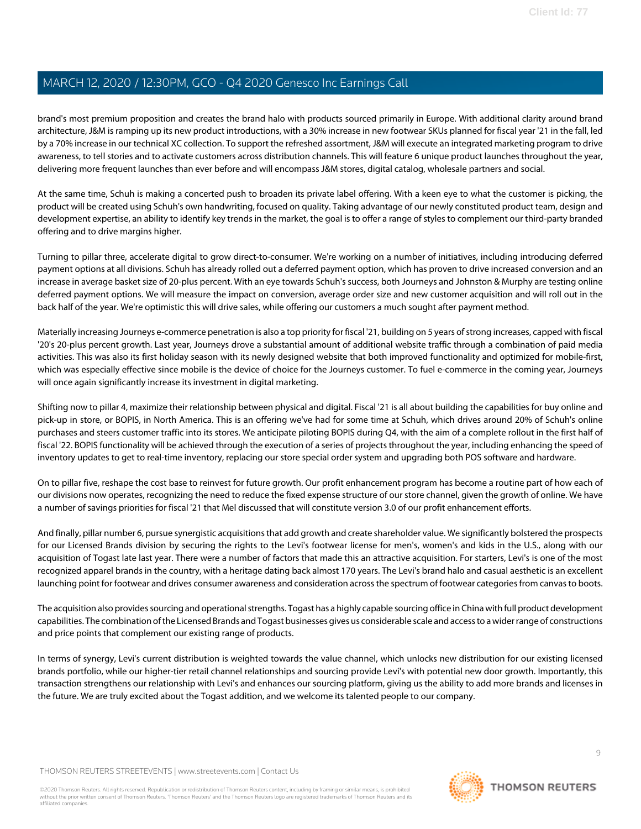brand's most premium proposition and creates the brand halo with products sourced primarily in Europe. With additional clarity around brand architecture, J&M is ramping up its new product introductions, with a 30% increase in new footwear SKUs planned for fiscal year '21 in the fall, led by a 70% increase in our technical XC collection. To support the refreshed assortment, J&M will execute an integrated marketing program to drive awareness, to tell stories and to activate customers across distribution channels. This will feature 6 unique product launches throughout the year, delivering more frequent launches than ever before and will encompass J&M stores, digital catalog, wholesale partners and social.

At the same time, Schuh is making a concerted push to broaden its private label offering. With a keen eye to what the customer is picking, the product will be created using Schuh's own handwriting, focused on quality. Taking advantage of our newly constituted product team, design and development expertise, an ability to identify key trends in the market, the goal is to offer a range of styles to complement our third-party branded offering and to drive margins higher.

Turning to pillar three, accelerate digital to grow direct-to-consumer. We're working on a number of initiatives, including introducing deferred payment options at all divisions. Schuh has already rolled out a deferred payment option, which has proven to drive increased conversion and an increase in average basket size of 20-plus percent. With an eye towards Schuh's success, both Journeys and Johnston & Murphy are testing online deferred payment options. We will measure the impact on conversion, average order size and new customer acquisition and will roll out in the back half of the year. We're optimistic this will drive sales, while offering our customers a much sought after payment method.

Materially increasing Journeys e-commerce penetration is also a top priority for fiscal '21, building on 5 years of strong increases, capped with fiscal '20's 20-plus percent growth. Last year, Journeys drove a substantial amount of additional website traffic through a combination of paid media activities. This was also its first holiday season with its newly designed website that both improved functionality and optimized for mobile-first, which was especially effective since mobile is the device of choice for the Journeys customer. To fuel e-commerce in the coming year, Journeys will once again significantly increase its investment in digital marketing.

Shifting now to pillar 4, maximize their relationship between physical and digital. Fiscal '21 is all about building the capabilities for buy online and pick-up in store, or BOPIS, in North America. This is an offering we've had for some time at Schuh, which drives around 20% of Schuh's online purchases and steers customer traffic into its stores. We anticipate piloting BOPIS during Q4, with the aim of a complete rollout in the first half of fiscal '22. BOPIS functionality will be achieved through the execution of a series of projects throughout the year, including enhancing the speed of inventory updates to get to real-time inventory, replacing our store special order system and upgrading both POS software and hardware.

On to pillar five, reshape the cost base to reinvest for future growth. Our profit enhancement program has become a routine part of how each of our divisions now operates, recognizing the need to reduce the fixed expense structure of our store channel, given the growth of online. We have a number of savings priorities for fiscal '21 that Mel discussed that will constitute version 3.0 of our profit enhancement efforts.

And finally, pillar number 6, pursue synergistic acquisitions that add growth and create shareholder value. We significantly bolstered the prospects for our Licensed Brands division by securing the rights to the Levi's footwear license for men's, women's and kids in the U.S., along with our acquisition of Togast late last year. There were a number of factors that made this an attractive acquisition. For starters, Levi's is one of the most recognized apparel brands in the country, with a heritage dating back almost 170 years. The Levi's brand halo and casual aesthetic is an excellent launching point for footwear and drives consumer awareness and consideration across the spectrum of footwear categories from canvas to boots.

The acquisition also provides sourcing and operational strengths. Togast has a highly capable sourcing office in China with full product development capabilities. The combination of the Licensed Brands and Togast businesses gives us considerable scale and access to a wider range of constructions and price points that complement our existing range of products.

In terms of synergy, Levi's current distribution is weighted towards the value channel, which unlocks new distribution for our existing licensed brands portfolio, while our higher-tier retail channel relationships and sourcing provide Levi's with potential new door growth. Importantly, this transaction strengthens our relationship with Levi's and enhances our sourcing platform, giving us the ability to add more brands and licenses in the future. We are truly excited about the Togast addition, and we welcome its talented people to our company.

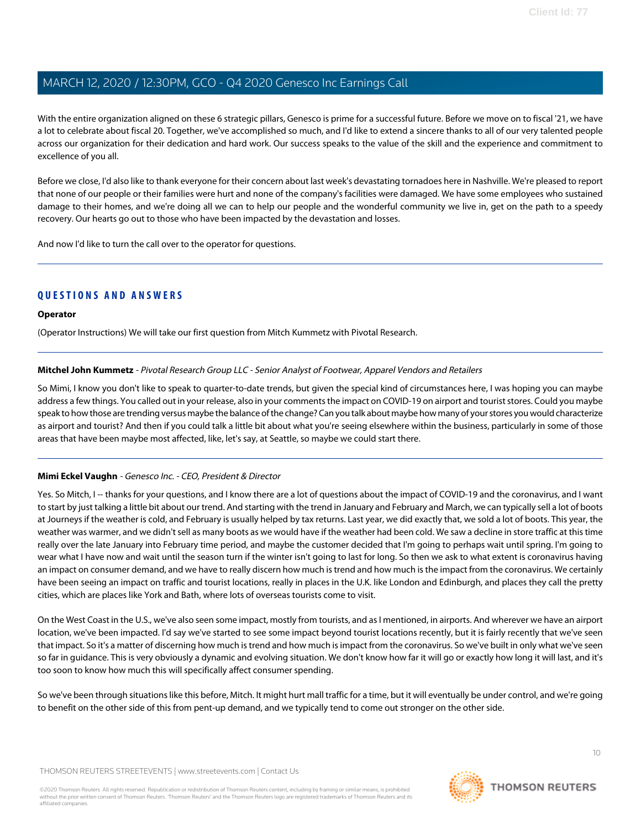With the entire organization aligned on these 6 strategic pillars, Genesco is prime for a successful future. Before we move on to fiscal '21, we have a lot to celebrate about fiscal 20. Together, we've accomplished so much, and I'd like to extend a sincere thanks to all of our very talented people across our organization for their dedication and hard work. Our success speaks to the value of the skill and the experience and commitment to excellence of you all.

Before we close, I'd also like to thank everyone for their concern about last week's devastating tornadoes here in Nashville. We're pleased to report that none of our people or their families were hurt and none of the company's facilities were damaged. We have some employees who sustained damage to their homes, and we're doing all we can to help our people and the wonderful community we live in, get on the path to a speedy recovery. Our hearts go out to those who have been impacted by the devastation and losses.

And now I'd like to turn the call over to the operator for questions.

### **QUESTIONS AND ANSWERS**

#### **Operator**

<span id="page-9-0"></span>(Operator Instructions) We will take our first question from Mitch Kummetz with Pivotal Research.

#### **Mitchel John Kummetz** - Pivotal Research Group LLC - Senior Analyst of Footwear, Apparel Vendors and Retailers

So Mimi, I know you don't like to speak to quarter-to-date trends, but given the special kind of circumstances here, I was hoping you can maybe address a few things. You called out in your release, also in your comments the impact on COVID-19 on airport and tourist stores. Could you maybe speak to how those are trending versus maybe the balance of the change? Can you talk about maybe how many of your stores you would characterize as airport and tourist? And then if you could talk a little bit about what you're seeing elsewhere within the business, particularly in some of those areas that have been maybe most affected, like, let's say, at Seattle, so maybe we could start there.

#### **Mimi Eckel Vaughn** - Genesco Inc. - CEO, President & Director

Yes. So Mitch, I--thanks for your questions, and I know there are a lot of questions about the impact of COVID-19 and the coronavirus, and I want to start by just talking a little bit about our trend. And starting with the trend in January and February and March, we can typically sell a lot of boots at Journeys if the weather is cold, and February is usually helped by tax returns. Last year, we did exactly that, we sold a lot of boots. This year, the weather was warmer, and we didn't sell as many boots as we would have if the weather had been cold. We saw a decline in store traffic at this time really over the late January into February time period, and maybe the customer decided that I'm going to perhaps wait until spring. I'm going to wear what I have now and wait until the season turn if the winter isn't going to last for long. So then we ask to what extent is coronavirus having an impact on consumer demand, and we have to really discern how much is trend and how much is the impact from the coronavirus. We certainly have been seeing an impact on traffic and tourist locations, really in places in the U.K. like London and Edinburgh, and places they call the pretty cities, which are places like York and Bath, where lots of overseas tourists come to visit.

On the West Coast in the U.S., we've also seen some impact, mostly from tourists, and as I mentioned, in airports. And wherever we have an airport location, we've been impacted. I'd say we've started to see some impact beyond tourist locations recently, but it is fairly recently that we've seen that impact. So it's a matter of discerning how much is trend and how much is impact from the coronavirus. So we've built in only what we've seen so far in guidance. This is very obviously a dynamic and evolving situation. We don't know how far it will go or exactly how long it will last, and it's too soon to know how much this will specifically affect consumer spending.

So we've been through situations like this before, Mitch. It might hurt mall traffic for a time, but it will eventually be under control, and we're going to benefit on the other side of this from pent-up demand, and we typically tend to come out stronger on the other side.

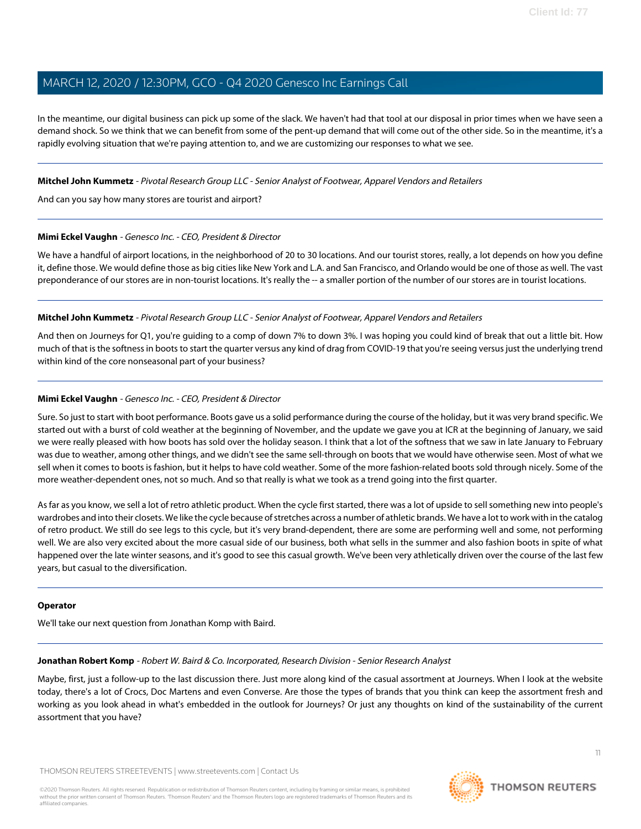In the meantime, our digital business can pick up some of the slack. We haven't had that tool at our disposal in prior times when we have seen a demand shock. So we think that we can benefit from some of the pent-up demand that will come out of the other side. So in the meantime, it's a rapidly evolving situation that we're paying attention to, and we are customizing our responses to what we see.

#### **Mitchel John Kummetz** - Pivotal Research Group LLC - Senior Analyst of Footwear, Apparel Vendors and Retailers

And can you say how many stores are tourist and airport?

#### **Mimi Eckel Vaughn** - Genesco Inc. - CEO, President & Director

We have a handful of airport locations, in the neighborhood of 20 to 30 locations. And our tourist stores, really, a lot depends on how you define it, define those. We would define those as big cities like New York and L.A. and San Francisco, and Orlando would be one of those as well. The vast preponderance of our stores are in non-tourist locations. It's really the -- a smaller portion of the number of our stores are in tourist locations.

### **Mitchel John Kummetz** - Pivotal Research Group LLC - Senior Analyst of Footwear, Apparel Vendors and Retailers

And then on Journeys for Q1, you're guiding to a comp of down 7% to down 3%. I was hoping you could kind of break that out a little bit. How much of that is the softness in boots to start the quarter versus any kind of drag from COVID-19 that you're seeing versus just the underlying trend within kind of the core nonseasonal part of your business?

#### **Mimi Eckel Vaughn** - Genesco Inc. - CEO, President & Director

Sure. So just to start with boot performance. Boots gave us a solid performance during the course of the holiday, but it was very brand specific. We started out with a burst of cold weather at the beginning of November, and the update we gave you at ICR at the beginning of January, we said we were really pleased with how boots has sold over the holiday season. I think that a lot of the softness that we saw in late January to February was due to weather, among other things, and we didn't see the same sell-through on boots that we would have otherwise seen. Most of what we sell when it comes to boots is fashion, but it helps to have cold weather. Some of the more fashion-related boots sold through nicely. Some of the more weather-dependent ones, not so much. And so that really is what we took as a trend going into the first quarter.

As far as you know, we sell a lot of retro athletic product. When the cycle first started, there was a lot of upside to sell something new into people's wardrobes and into their closets. We like the cycle because of stretches across a number of athletic brands. We have a lot to work with in the catalog of retro product. We still do see legs to this cycle, but it's very brand-dependent, there are some are performing well and some, not performing well. We are also very excited about the more casual side of our business, both what sells in the summer and also fashion boots in spite of what happened over the late winter seasons, and it's good to see this casual growth. We've been very athletically driven over the course of the last few years, but casual to the diversification.

#### <span id="page-10-0"></span>**Operator**

We'll take our next question from Jonathan Komp with Baird.

#### **Jonathan Robert Komp** - Robert W. Baird & Co. Incorporated, Research Division - Senior Research Analyst

Maybe, first, just a follow-up to the last discussion there. Just more along kind of the casual assortment at Journeys. When I look at the website today, there's a lot of Crocs, Doc Martens and even Converse. Are those the types of brands that you think can keep the assortment fresh and working as you look ahead in what's embedded in the outlook for Journeys? Or just any thoughts on kind of the sustainability of the current assortment that you have?

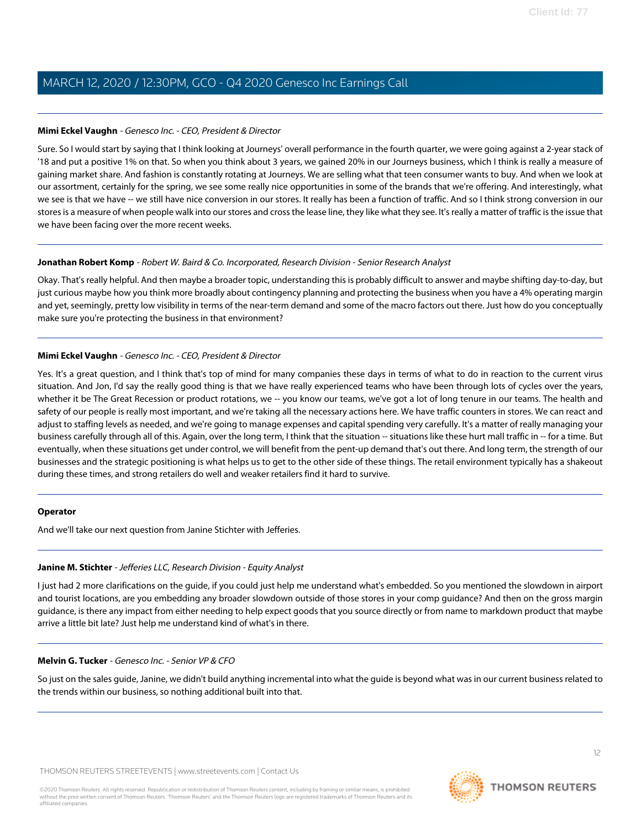#### **Mimi Eckel Vaughn** - Genesco Inc. - CEO, President & Director

Sure. So I would start by saying that I think looking at Journeys' overall performance in the fourth quarter, we were going against a 2-year stack of '18 and put a positive 1% on that. So when you think about 3 years, we gained 20% in our Journeys business, which I think is really a measure of gaining market share. And fashion is constantly rotating at Journeys. We are selling what that teen consumer wants to buy. And when we look at our assortment, certainly for the spring, we see some really nice opportunities in some of the brands that we're offering. And interestingly, what we see is that we have -- we still have nice conversion in our stores. It really has been a function of traffic. And so I think strong conversion in our stores is a measure of when people walk into our stores and cross the lease line, they like what they see. It's really a matter of traffic is the issue that we have been facing over the more recent weeks.

#### **Jonathan Robert Komp** - Robert W. Baird & Co. Incorporated, Research Division - Senior Research Analyst

Okay. That's really helpful. And then maybe a broader topic, understanding this is probably difficult to answer and maybe shifting day-to-day, but just curious maybe how you think more broadly about contingency planning and protecting the business when you have a 4% operating margin and yet, seemingly, pretty low visibility in terms of the near-term demand and some of the macro factors out there. Just how do you conceptually make sure you're protecting the business in that environment?

#### **Mimi Eckel Vaughn** - Genesco Inc. - CEO, President & Director

Yes. It's a great question, and I think that's top of mind for many companies these days in terms of what to do in reaction to the current virus situation. And Jon, I'd say the really good thing is that we have really experienced teams who have been through lots of cycles over the years, whether it be The Great Recession or product rotations, we -- you know our teams, we've got a lot of long tenure in our teams. The health and safety of our people is really most important, and we're taking all the necessary actions here. We have traffic counters in stores. We can react and adjust to staffing levels as needed, and we're going to manage expenses and capital spending very carefully. It's a matter of really managing your business carefully through all of this. Again, over the long term, I think that the situation -- situations like these hurt mall traffic in -- for a time. But eventually, when these situations get under control, we will benefit from the pent-up demand that's out there. And long term, the strength of our businesses and the strategic positioning is what helps us to get to the other side of these things. The retail environment typically has a shakeout during these times, and strong retailers do well and weaker retailers find it hard to survive.

#### <span id="page-11-0"></span>**Operator**

And we'll take our next question from Janine Stichter with Jefferies.

### **Janine M. Stichter** - Jefferies LLC, Research Division - Equity Analyst

I just had 2 more clarifications on the guide, if you could just help me understand what's embedded. So you mentioned the slowdown in airport and tourist locations, are you embedding any broader slowdown outside of those stores in your comp guidance? And then on the gross margin guidance, is there any impact from either needing to help expect goods that you source directly or from name to markdown product that maybe arrive a little bit late? Just help me understand kind of what's in there.

#### **Melvin G. Tucker** - Genesco Inc. - Senior VP & CFO

So just on the sales guide, Janine, we didn't build anything incremental into what the guide is beyond what was in our current business related to the trends within our business, so nothing additional built into that.

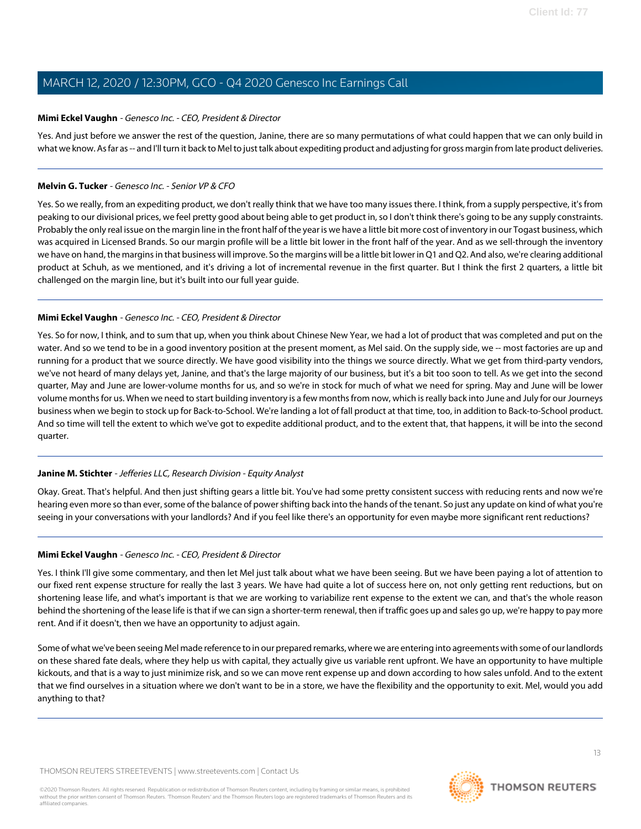#### **Mimi Eckel Vaughn** - Genesco Inc. - CEO, President & Director

Yes. And just before we answer the rest of the question, Janine, there are so many permutations of what could happen that we can only build in what we know. As far as -- and I'll turn it back to Mel to just talk about expediting product and adjusting for gross margin from late product deliveries.

### **Melvin G. Tucker** - Genesco Inc. - Senior VP & CFO

Yes. So we really, from an expediting product, we don't really think that we have too many issues there. I think, from a supply perspective, it's from peaking to our divisional prices, we feel pretty good about being able to get product in, so I don't think there's going to be any supply constraints. Probably the only real issue on the margin line in the front half of the year is we have a little bit more cost of inventory in our Togast business, which was acquired in Licensed Brands. So our margin profile will be a little bit lower in the front half of the year. And as we sell-through the inventory we have on hand, the margins in that business will improve. So the margins will be a little bit lower in Q1 and Q2. And also, we're clearing additional product at Schuh, as we mentioned, and it's driving a lot of incremental revenue in the first quarter. But I think the first 2 quarters, a little bit challenged on the margin line, but it's built into our full year guide.

#### **Mimi Eckel Vaughn** - Genesco Inc. - CEO, President & Director

Yes. So for now, I think, and to sum that up, when you think about Chinese New Year, we had a lot of product that was completed and put on the water. And so we tend to be in a good inventory position at the present moment, as Mel said. On the supply side, we -- most factories are up and running for a product that we source directly. We have good visibility into the things we source directly. What we get from third-party vendors, we've not heard of many delays yet, Janine, and that's the large majority of our business, but it's a bit too soon to tell. As we get into the second quarter, May and June are lower-volume months for us, and so we're in stock for much of what we need for spring. May and June will be lower volume months for us. When we need to start building inventory is a few months from now, which is really back into June and July for our Journeys business when we begin to stock up for Back-to-School. We're landing a lot of fall product at that time, too, in addition to Back-to-School product. And so time will tell the extent to which we've got to expedite additional product, and to the extent that, that happens, it will be into the second quarter.

### **Janine M. Stichter** - Jefferies LLC, Research Division - Equity Analyst

Okay. Great. That's helpful. And then just shifting gears a little bit. You've had some pretty consistent success with reducing rents and now we're hearing even more so than ever, some of the balance of power shifting back into the hands of the tenant. So just any update on kind of what you're seeing in your conversations with your landlords? And if you feel like there's an opportunity for even maybe more significant rent reductions?

#### **Mimi Eckel Vaughn** - Genesco Inc. - CEO, President & Director

Yes. I think I'll give some commentary, and then let Mel just talk about what we have been seeing. But we have been paying a lot of attention to our fixed rent expense structure for really the last 3 years. We have had quite a lot of success here on, not only getting rent reductions, but on shortening lease life, and what's important is that we are working to variabilize rent expense to the extent we can, and that's the whole reason behind the shortening of the lease life is that if we can sign a shorter-term renewal, then if traffic goes up and sales go up, we're happy to pay more rent. And if it doesn't, then we have an opportunity to adjust again.

Some of what we've been seeing Mel made reference to in our prepared remarks, where we are entering into agreements with some of our landlords on these shared fate deals, where they help us with capital, they actually give us variable rent upfront. We have an opportunity to have multiple kickouts, and that is a way to just minimize risk, and so we can move rent expense up and down according to how sales unfold. And to the extent that we find ourselves in a situation where we don't want to be in a store, we have the flexibility and the opportunity to exit. Mel, would you add anything to that?

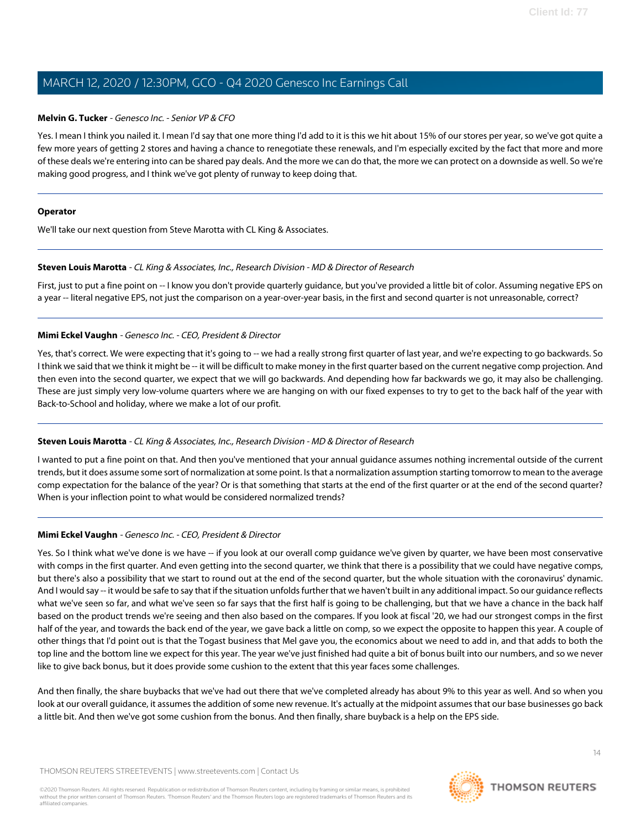#### **Melvin G. Tucker** - Genesco Inc. - Senior VP & CFO

Yes. I mean I think you nailed it. I mean I'd say that one more thing I'd add to it is this we hit about 15% of our stores per year, so we've got quite a few more years of getting 2 stores and having a chance to renegotiate these renewals, and I'm especially excited by the fact that more and more of these deals we're entering into can be shared pay deals. And the more we can do that, the more we can protect on a downside as well. So we're making good progress, and I think we've got plenty of runway to keep doing that.

#### **Operator**

<span id="page-13-0"></span>We'll take our next question from Steve Marotta with CL King & Associates.

#### **Steven Louis Marotta** - CL King & Associates, Inc., Research Division - MD & Director of Research

First, just to put a fine point on -- I know you don't provide quarterly guidance, but you've provided a little bit of color. Assuming negative EPS on a year -- literal negative EPS, not just the comparison on a year-over-year basis, in the first and second quarter is not unreasonable, correct?

#### **Mimi Eckel Vaughn** - Genesco Inc. - CEO, President & Director

Yes, that's correct. We were expecting that it's going to -- we had a really strong first quarter of last year, and we're expecting to go backwards. So I think we said that we think it might be -- it will be difficult to make money in the first quarter based on the current negative comp projection. And then even into the second quarter, we expect that we will go backwards. And depending how far backwards we go, it may also be challenging. These are just simply very low-volume quarters where we are hanging on with our fixed expenses to try to get to the back half of the year with Back-to-School and holiday, where we make a lot of our profit.

#### **Steven Louis Marotta** - CL King & Associates, Inc., Research Division - MD & Director of Research

I wanted to put a fine point on that. And then you've mentioned that your annual guidance assumes nothing incremental outside of the current trends, but it does assume some sort of normalization at some point. Is that a normalization assumption starting tomorrow to mean to the average comp expectation for the balance of the year? Or is that something that starts at the end of the first quarter or at the end of the second quarter? When is your inflection point to what would be considered normalized trends?

#### **Mimi Eckel Vaughn** - Genesco Inc. - CEO, President & Director

Yes. So I think what we've done is we have -- if you look at our overall comp guidance we've given by quarter, we have been most conservative with comps in the first quarter. And even getting into the second quarter, we think that there is a possibility that we could have negative comps, but there's also a possibility that we start to round out at the end of the second quarter, but the whole situation with the coronavirus' dynamic. And I would say -- it would be safe to say that if the situation unfolds further that we haven't built in any additional impact. So our guidance reflects what we've seen so far, and what we've seen so far says that the first half is going to be challenging, but that we have a chance in the back half based on the product trends we're seeing and then also based on the compares. If you look at fiscal '20, we had our strongest comps in the first half of the year, and towards the back end of the year, we gave back a little on comp, so we expect the opposite to happen this year. A couple of other things that I'd point out is that the Togast business that Mel gave you, the economics about we need to add in, and that adds to both the top line and the bottom line we expect for this year. The year we've just finished had quite a bit of bonus built into our numbers, and so we never like to give back bonus, but it does provide some cushion to the extent that this year faces some challenges.

And then finally, the share buybacks that we've had out there that we've completed already has about 9% to this year as well. And so when you look at our overall guidance, it assumes the addition of some new revenue. It's actually at the midpoint assumes that our base businesses go back a little bit. And then we've got some cushion from the bonus. And then finally, share buyback is a help on the EPS side.

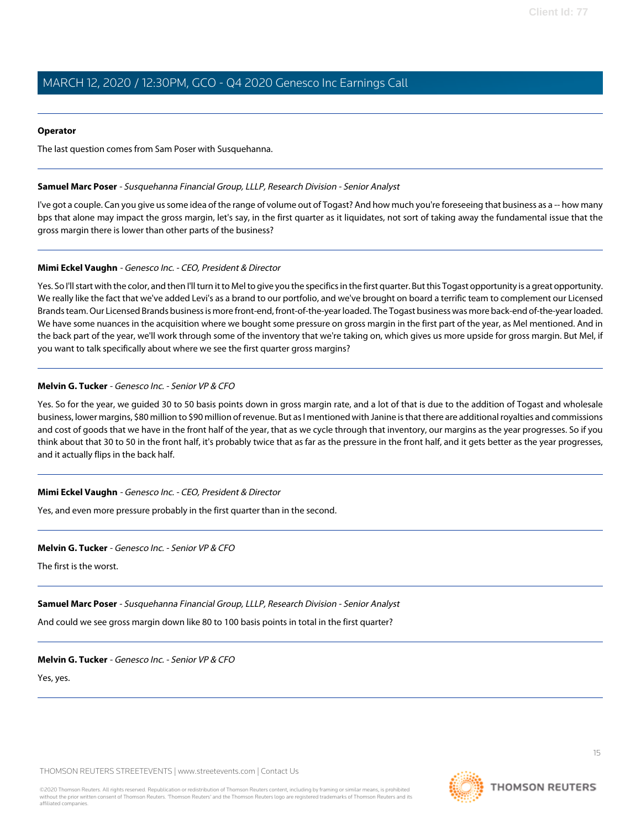#### **Operator**

<span id="page-14-0"></span>The last question comes from Sam Poser with Susquehanna.

#### **Samuel Marc Poser** - Susquehanna Financial Group, LLLP, Research Division - Senior Analyst

I've got a couple. Can you give us some idea of the range of volume out of Togast? And how much you're foreseeing that business as a -- how many bps that alone may impact the gross margin, let's say, in the first quarter as it liquidates, not sort of taking away the fundamental issue that the gross margin there is lower than other parts of the business?

#### **Mimi Eckel Vaughn** - Genesco Inc. - CEO, President & Director

Yes. So I'll start with the color, and then I'll turn it to Mel to give you the specifics in the first quarter. But this Togast opportunity is a great opportunity. We really like the fact that we've added Levi's as a brand to our portfolio, and we've brought on board a terrific team to complement our Licensed Brands team. Our Licensed Brands business is more front-end, front-of-the-year loaded. The Togast business was more back-end of-the-year loaded. We have some nuances in the acquisition where we bought some pressure on gross margin in the first part of the year, as Mel mentioned. And in the back part of the year, we'll work through some of the inventory that we're taking on, which gives us more upside for gross margin. But Mel, if you want to talk specifically about where we see the first quarter gross margins?

#### **Melvin G. Tucker** - Genesco Inc. - Senior VP & CFO

Yes. So for the year, we guided 30 to 50 basis points down in gross margin rate, and a lot of that is due to the addition of Togast and wholesale business, lower margins, \$80 million to \$90 million of revenue. But as I mentioned with Janine is that there are additional royalties and commissions and cost of goods that we have in the front half of the year, that as we cycle through that inventory, our margins as the year progresses. So if you think about that 30 to 50 in the front half, it's probably twice that as far as the pressure in the front half, and it gets better as the year progresses, and it actually flips in the back half.

#### **Mimi Eckel Vaughn** - Genesco Inc. - CEO, President & Director

Yes, and even more pressure probably in the first quarter than in the second.

#### **Melvin G. Tucker** - Genesco Inc. - Senior VP & CFO

The first is the worst.

### **Samuel Marc Poser** - Susquehanna Financial Group, LLLP, Research Division - Senior Analyst

And could we see gross margin down like 80 to 100 basis points in total in the first quarter?

### **Melvin G. Tucker** - Genesco Inc. - Senior VP & CFO

Yes, yes.



**THOMSON REUTERS**